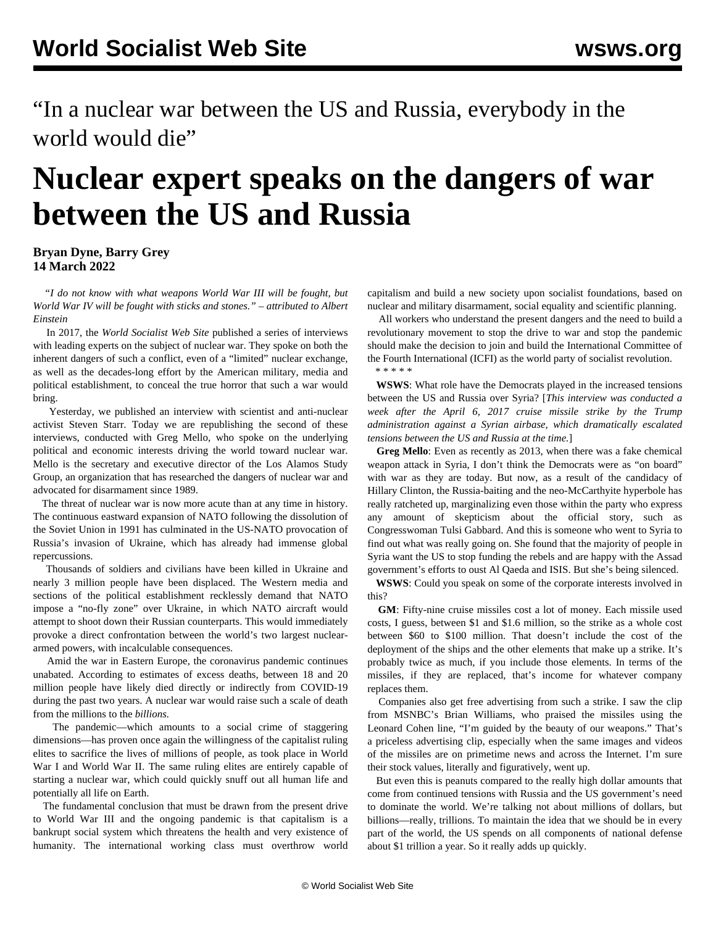"In a nuclear war between the US and Russia, everybody in the world would die"

## **Nuclear expert speaks on the dangers of war between the US and Russia**

**Bryan Dyne, Barry Grey 14 March 2022**

 *"I do not know with what weapons World War III will be fought, but World War IV will be fought with sticks and stones." – attributed to Albert Einstein*

 In 2017, the *World Socialist Web Site* published a series of interviews with leading experts on the subject of nuclear war. They spoke on both the inherent dangers of such a conflict, even of a "limited" nuclear exchange, as well as the decades-long effort by the American military, media and political establishment, to conceal the true horror that such a war would bring.

 Yesterday, we [published an interview](/en/articles/2022/03/14/nucl-m14.html) with scientist and anti-nuclear activist Steven Starr. Today we are republishing the second of these interviews, conducted with Greg Mello, who spoke on the underlying political and economic interests driving the world toward nuclear war. Mello is the secretary and executive director of the Los Alamos Study Group, an organization that has researched the dangers of nuclear war and advocated for disarmament since 1989.

 The threat of nuclear war is now more acute than at any time in history. The continuous eastward expansion of NATO following the dissolution of the Soviet Union in 1991 has culminated in the US-NATO provocation of Russia's invasion of Ukraine, which has already had immense global repercussions.

 Thousands of soldiers and civilians have been killed in Ukraine and nearly 3 million people have been displaced. The Western media and sections of the political establishment recklessly demand that NATO impose a "no-fly zone" over Ukraine, in which NATO aircraft would attempt to shoot down their Russian counterparts. This would immediately provoke a direct confrontation between the world's two largest nucleararmed powers, with incalculable consequences.

 Amid the war in Eastern Europe, the coronavirus pandemic continues unabated. According to estimates of excess deaths, between 18 and 20 million people have likely died directly or indirectly from COVID-19 during the past two years. A nuclear war would raise such a scale of death from the millions to the *billions.*

 The pandemic—which amounts to a social crime of staggering dimensions—has proven once again the willingness of the capitalist ruling elites to sacrifice the lives of millions of people, as took place in World War I and World War II. The same ruling elites are entirely capable of starting a nuclear war, which could quickly snuff out all human life and potentially all life on Earth.

 The fundamental conclusion that must be drawn from the present drive to World War III and the ongoing pandemic is that capitalism is a bankrupt social system which threatens the health and very existence of humanity. The international working class must overthrow world capitalism and build a new society upon socialist foundations, based on nuclear and military disarmament, social equality and scientific planning.

 All workers who understand the present dangers and the need to build a revolutionary movement to stop the drive to war and stop the pandemic should make the decision to [join and build the International Committee of](/join) [the Fourth International](/join) (ICFI) as the world party of socialist revolution. \* \* \* \* \*

 **WSWS**: What role have the Democrats played in the increased tensions between the US and Russia over Syria? [*This interview was conducted a week after the April 6, 2017 [cruise missile strike by the Trump](/en/articles/2017/04/10/pers-a10.html) [administration](/en/articles/2017/04/10/pers-a10.html) against a Syrian airbase, which dramatically escalated tensions between the US and Russia at the time.*]

 **Greg Mello**: Even as recently as 2013, when there was a fake chemical weapon attack in Syria, I don't think the Democrats were as "on board" with war as they are today. But now, as a result of the candidacy of Hillary Clinton, the Russia-baiting and the neo-McCarthyite hyperbole has really ratcheted up, marginalizing even those within the party who express any amount of skepticism about the official story, such as Congresswoman Tulsi Gabbard. And this is someone who went to Syria to find out what was really going on. She found that the majority of people in Syria want the US to stop funding the rebels and are happy with the Assad government's efforts to oust Al Qaeda and ISIS. But she's being silenced.

 **WSWS**: Could you speak on some of the corporate interests involved in this?

 **GM**: Fifty-nine cruise missiles cost a lot of money. Each missile used costs, I guess, between \$1 and \$1.6 million, so the strike as a whole cost between \$60 to \$100 million. That doesn't include the cost of the deployment of the ships and the other elements that make up a strike. It's probably twice as much, if you include those elements. In terms of the missiles, if they are replaced, that's income for whatever company replaces them.

 Companies also get free advertising from such a strike. I saw the clip from MSNBC's Brian Williams, who praised the missiles using the Leonard Cohen line, "I'm guided by the beauty of our weapons." That's a priceless advertising clip, especially when the same images and videos of the missiles are on primetime news and across the Internet. I'm sure their stock values, literally and figuratively, went up.

 But even this is peanuts compared to the really high dollar amounts that come from continued tensions with Russia and the US government's need to dominate the world. We're talking not about millions of dollars, but billions—really, trillions. To maintain the idea that we should be in every part of the world, the US spends on all components of national defense about \$1 trillion a year. So it really adds up quickly.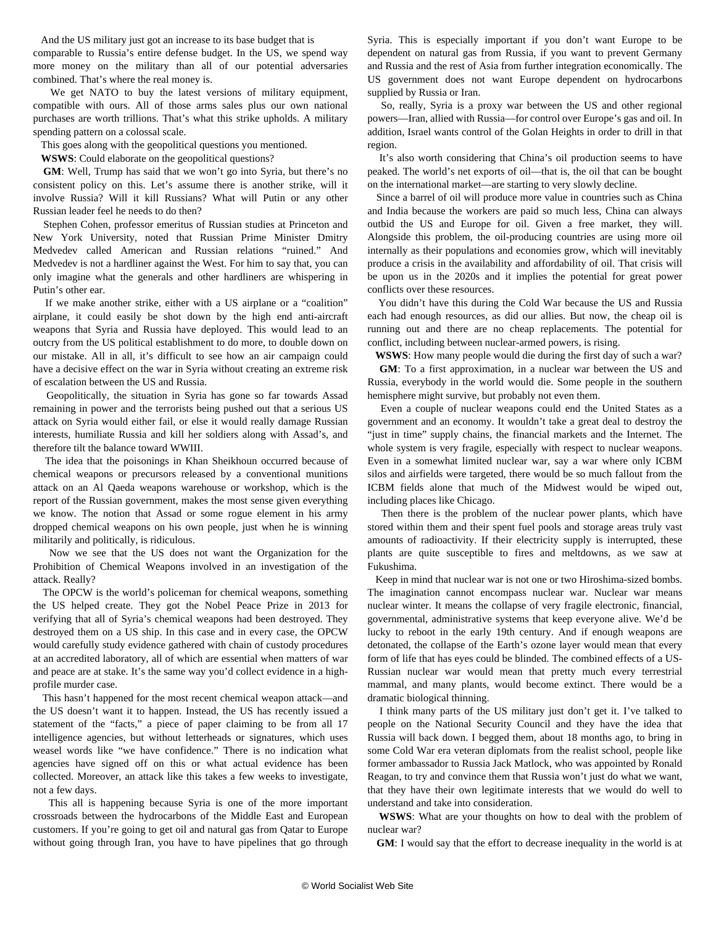And the US military just got an increase to its base budget that is

comparable to Russia's entire defense budget. In the US, we spend way more money on the military than all of our potential adversaries combined. That's where the real money is.

We get NATO to buy the latest versions of military equipment, compatible with ours. All of those arms sales plus our own national purchases are worth trillions. That's what this strike upholds. A military spending pattern on a colossal scale.

This goes along with the geopolitical questions you mentioned.

**WSWS**: Could elaborate on the geopolitical questions?

 **GM**: Well, Trump has said that we won't go into Syria, but there's no consistent policy on this. Let's assume there is another strike, will it involve Russia? Will it kill Russians? What will Putin or any other Russian leader feel he needs to do then?

 Stephen Cohen, professor emeritus of Russian studies at Princeton and New York University, noted that Russian Prime Minister Dmitry Medvedev called American and Russian relations "ruined." And Medvedev is not a hardliner against the West. For him to say that, you can only imagine what the generals and other hardliners are whispering in Putin's other ear.

 If we make another strike, either with a US airplane or a "coalition" airplane, it could easily be shot down by the high end anti-aircraft weapons that Syria and Russia have deployed. This would lead to an outcry from the US political establishment to do more, to double down on our mistake. All in all, it's difficult to see how an air campaign could have a decisive effect on the war in Syria without creating an extreme risk of escalation between the US and Russia.

 Geopolitically, the situation in Syria has gone so far towards Assad remaining in power and the terrorists being pushed out that a serious US attack on Syria would either fail, or else it would really damage Russian interests, humiliate Russia and kill her soldiers along with Assad's, and therefore tilt the balance toward WWIII.

 The idea that the poisonings in Khan Sheikhoun occurred because of chemical weapons or precursors released by a conventional munitions attack on an Al Qaeda weapons warehouse or workshop, which is the report of the Russian government, makes the most sense given everything we know. The notion that Assad or some rogue element in his army dropped chemical weapons on his own people, just when he is winning militarily and politically, is ridiculous.

 Now we see that the US does not want the Organization for the Prohibition of Chemical Weapons involved in an investigation of the attack. Really?

 The OPCW is the world's policeman for chemical weapons, something the US helped create. They got the Nobel Peace Prize in 2013 for verifying that all of Syria's chemical weapons had been destroyed. They destroyed them on a US ship. In this case and in every case, the OPCW would carefully study evidence gathered with chain of custody procedures at an accredited laboratory, all of which are essential when matters of war and peace are at stake. It's the same way you'd collect evidence in a highprofile murder case.

 This hasn't happened for the most recent chemical weapon attack—and the US doesn't want it to happen. Instead, the US has recently issued a statement of the "facts," a piece of paper claiming to be from all 17 intelligence agencies, but without letterheads or signatures, which uses weasel words like "we have confidence." There is no indication what agencies have signed off on this or what actual evidence has been collected. Moreover, an attack like this takes a few weeks to investigate, not a few days.

 This all is happening because Syria is one of the more important crossroads between the hydrocarbons of the Middle East and European customers. If you're going to get oil and natural gas from Qatar to Europe without going through Iran, you have to have pipelines that go through Syria. This is especially important if you don't want Europe to be dependent on natural gas from Russia, if you want to prevent Germany and Russia and the rest of Asia from further integration economically. The US government does not want Europe dependent on hydrocarbons supplied by Russia or Iran.

 So, really, Syria is a proxy war between the US and other regional powers—Iran, allied with Russia—for control over Europe's gas and oil. In addition, Israel wants control of the Golan Heights in order to drill in that region.

 It's also worth considering that China's oil production seems to have peaked. The world's net exports of oil—that is, the oil that can be bought on the international market—are starting to very slowly decline.

 Since a barrel of oil will produce more value in countries such as China and India because the workers are paid so much less, China can always outbid the US and Europe for oil. Given a free market, they will. Alongside this problem, the oil-producing countries are using more oil internally as their populations and economies grow, which will inevitably produce a crisis in the availability and affordability of oil. That crisis will be upon us in the 2020s and it implies the potential for great power conflicts over these resources.

 You didn't have this during the Cold War because the US and Russia each had enough resources, as did our allies. But now, the cheap oil is running out and there are no cheap replacements. The potential for conflict, including between nuclear-armed powers, is rising.

**WSWS**: How many people would die during the first day of such a war?

 **GM**: To a first approximation, in a nuclear war between the US and Russia, everybody in the world would die. Some people in the southern hemisphere might survive, but probably not even them.

 Even a couple of nuclear weapons could end the United States as a government and an economy. It wouldn't take a great deal to destroy the "just in time" supply chains, the financial markets and the Internet. The whole system is very fragile, especially with respect to nuclear weapons. Even in a somewhat limited nuclear war, say a war where only ICBM silos and airfields were targeted, there would be so much fallout from the ICBM fields alone that much of the Midwest would be wiped out, including places like Chicago.

 Then there is the problem of the nuclear power plants, which have stored within them and their spent fuel pools and storage areas truly vast amounts of radioactivity. If their electricity supply is interrupted, these plants are quite susceptible to fires and meltdowns, as we saw at Fukushima.

 Keep in mind that nuclear war is not one or two Hiroshima-sized bombs. The imagination cannot encompass nuclear war. Nuclear war means nuclear winter. It means the collapse of very fragile electronic, financial, governmental, administrative systems that keep everyone alive. We'd be lucky to reboot in the early 19th century. And if enough weapons are detonated, the collapse of the Earth's ozone layer would mean that every form of life that has eyes could be blinded. The combined effects of a US-Russian nuclear war would mean that pretty much every terrestrial mammal, and many plants, would become extinct. There would be a dramatic biological thinning.

 I think many parts of the US military just don't get it. I've talked to people on the National Security Council and they have the idea that Russia will back down. I begged them, about 18 months ago, to bring in some Cold War era veteran diplomats from the realist school, people like former ambassador to Russia Jack Matlock, who was appointed by Ronald Reagan, to try and convince them that Russia won't just do what we want, that they have their own legitimate interests that we would do well to understand and take into consideration.

 **WSWS**: What are your thoughts on how to deal with the problem of nuclear war?

**GM**: I would say that the effort to decrease inequality in the world is at